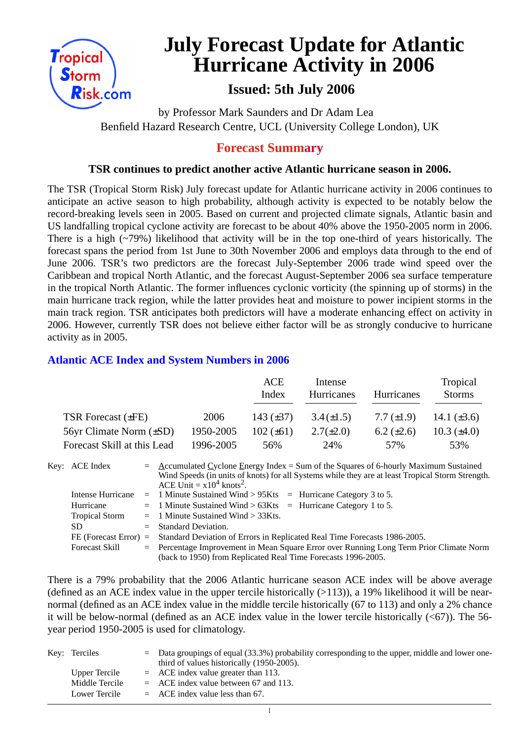

# **July Forecast Update for Atlantic Hurricane Activity in 2006**

# **Issued: 5th July 2006**

by Professor Mark Saunders and Dr Adam Lea Benfield Hazard Research Centre, UCL (University College London), UK

### **Forecast Summary**

#### **TSR continues to predict another active Atlantic hurricane season in 2006.**

The TSR (Tropical Storm Risk) July forecast update for Atlantic hurricane activity in 2006 continues to anticipate an active season to high probability, although activity is expected to be notably below the record-breaking levels seen in 2005. Based on current and projected climate signals, Atlantic basin and US landfalling tropical cyclone activity are forecast to be about 40% above the 1950-2005 norm in 2006. There is a high (~79%) likelihood that activity will be in the top one-third of years historically. The forecast spans the period from 1st June to 30th November 2006 and employs data through to the end of June 2006. TSR's two predictors are the forecast July-September 2006 trade wind speed over the Caribbean and tropical North Atlantic, and the forecast August-September 2006 sea surface temperature in the tropical North Atlantic. The former influences cyclonic vorticity (the spinning up of storms) in the main hurricane track region, while the latter provides heat and moisture to power incipient storms in the main track region. TSR anticipates both predictors will have a moderate enhancing effect on activity in 2006. However, currently TSR does not believe either factor will be as strongly conducive to hurricane activity as in 2005.

#### **Atlantic ACE Index and System Numbers in 2006**

|                              |           | ACE<br>Index   | Intense<br><b>Hurricanes</b> | <b>Hurricanes</b> | Tropical<br><b>Storms</b> |
|------------------------------|-----------|----------------|------------------------------|-------------------|---------------------------|
| TSR Forecast $(\pm FE)$      | 2006      | 143 $(\pm 37)$ | $3.4(\pm 1.5)$               | 7.7 $(\pm 1.9)$   | 14.1 $(\pm 3.6)$          |
| 56yr Climate Norm $(\pm SD)$ | 1950-2005 | $102 (\pm 61)$ | $2.7(\pm 2.0)$               | $6.2 \ (\pm 2.6)$ | 10.3 $(\pm 4.0)$          |
| Forecast Skill at this Lead  | 1996-2005 | 56%            | 24%                          | 57%               | 53%                       |

Key: ACE Index = Accumulated Cyclone Energy Index = Sum of the Squares of 6-hourly Maximum Sustained Wind Speeds (in units of knots) for all Systems while they are at least Tropical Storm Strength. ACE Unit =  $x10^4$  knots<sup>2</sup>. Intense Hurricane = 1 Minute Sustained Wind > 95Kts = Hurricane Category 3 to 5. Hurricane  $= 1$  Minute Sustained Wind  $> 63K$ ts = Hurricane Category 1 to 5. Tropical Storm = 1 Minute Sustained Wind > 33Kts. SD = Standard Deviation. FE (Forecast Error) = Standard Deviation of Errors in Replicated Real Time Forecasts 1986-2005. Forecast Skill = Percentage Improvement in Mean Square Error over Running Long Term Prior Climate Norm (back to 1950) from Replicated Real Time Forecasts 1996-2005.

There is a 79% probability that the 2006 Atlantic hurricane season ACE index will be above average (defined as an ACE index value in the upper tercile historically  $(>113)$ ), a 19% likelihood it will be nearnormal (defined as an ACE index value in the middle tercile historically (67 to 113) and only a 2% chance it will be below-normal (defined as an ACE index value in the lower tercile historically  $( $67$ )$ ). The 56year period 1950-2005 is used for climatology.

| Key: Terciles  | $=$ Data groupings of equal (33.3%) probability corresponding to the upper, middle and lower one-<br>third of values historically (1950-2005). |
|----------------|------------------------------------------------------------------------------------------------------------------------------------------------|
| Upper Tercile  | $=$ ACE index value greater than 113.                                                                                                          |
| Middle Tercile | $=$ ACE index value between 67 and 113.                                                                                                        |
| Lower Tercile  | $=$ ACE index value less than 67.                                                                                                              |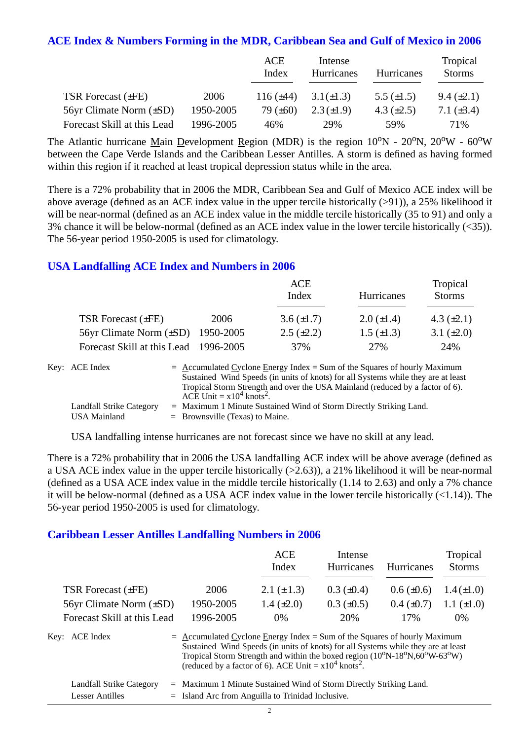#### **ACE Index & Numbers Forming in the MDR, Caribbean Sea and Gulf of Mexico in 2006**

|                             |           | ACE<br>Index   | Intense<br>Hurricanes | Hurricanes      | Tropical<br><b>Storms</b> |
|-----------------------------|-----------|----------------|-----------------------|-----------------|---------------------------|
| <b>TSR Forecast (±FE)</b>   | 2006      | 116 $(\pm 44)$ | $3.1(\pm 1.3)$        | 5.5 $(\pm 1.5)$ | $9.4 \ (\pm 2.1)$         |
| 56yr Climate Norm (±SD)     | 1950-2005 | 79 $(\pm 60)$  | $2.3(\pm 1.9)$        | 4.3 $(\pm 2.5)$ | 7.1 $(\pm 3.4)$           |
| Forecast Skill at this Lead | 1996-2005 | 46%            | 29%                   | .59%            | 71%                       |

The Atlantic hurricane Main Development Region (MDR) is the region  $10^{\circ}N - 20^{\circ}N$ ,  $20^{\circ}W - 60^{\circ}W$ between the Cape Verde Islands and the Caribbean Lesser Antilles. A storm is defined as having formed within this region if it reached at least tropical depression status while in the area.

There is a 72% probability that in 2006 the MDR, Caribbean Sea and Gulf of Mexico ACE index will be above average (defined as an ACE index value in the upper tercile historically (>91)), a 25% likelihood it will be near-normal (defined as an ACE index value in the middle tercile historically (35 to 91) and only a 3% chance it will be below-normal (defined as an ACE index value in the lower tercile historically (<35)). The 56-year period 1950-2005 is used for climatology.

#### **USA Landfalling ACE Index and Numbers in 2006**

|                                        |      | <b>ACE</b><br>Index | Hurricanes        | Tropical<br><b>Storms</b> |
|----------------------------------------|------|---------------------|-------------------|---------------------------|
| TSR Forecast (±FE)                     | 2006 | $3.6 (\pm 1.7)$     | $2.0 \ (\pm 1.4)$ | 4.3 $(\pm 2.1)$           |
| 56yr Climate Norm $(\pm SD)$ 1950-2005 |      | $2.5 \ (\pm 2.2)$   | $1.5 \ (\pm 1.3)$ | 3.1 $(\pm 2.0)$           |
| Forecast Skill at this Lead 1996-2005  |      | 37%                 | 27%               | 24%                       |

| Key: ACE Index           | $=$ Accumulated Cyclone Energy Index = Sum of the Squares of hourly Maximum       |
|--------------------------|-----------------------------------------------------------------------------------|
|                          | Sustained Wind Speeds (in units of knots) for all Systems while they are at least |
|                          | Tropical Storm Strength and over the USA Mainland (reduced by a factor of 6).     |
|                          | ACE Unit = $x10^4$ knots <sup>2</sup> .                                           |
| Landfall Strike Category | $=$ Maximum 1 Minute Sustained Wind of Storm Directly Striking Land.              |
| USA Mainland             | $=$ Brownsville (Texas) to Maine.                                                 |

USA landfalling intense hurricanes are not forecast since we have no skill at any lead.

There is a 72% probability that in 2006 the USA landfalling ACE index will be above average (defined as a USA ACE index value in the upper tercile historically (>2.63)), a 21% likelihood it will be near-normal (defined as a USA ACE index value in the middle tercile historically (1.14 to 2.63) and only a 7% chance it will be below-normal (defined as a USA ACE index value in the lower tercile historically (<1.14)). The 56-year period 1950-2005 is used for climatology.

#### **Caribbean Lesser Antilles Landfalling Numbers in 2006**

|                                |                                                                                                                                                                                                                                                                                                                                                                          | <b>ACE</b><br>Index | Intense<br>Hurricanes | Hurricanes        | Tropical<br><b>Storms</b> |  |
|--------------------------------|--------------------------------------------------------------------------------------------------------------------------------------------------------------------------------------------------------------------------------------------------------------------------------------------------------------------------------------------------------------------------|---------------------|-----------------------|-------------------|---------------------------|--|
| TSR Forecast $(\pm FE)$        | 2006                                                                                                                                                                                                                                                                                                                                                                     | 2.1 $(\pm 1.3)$     | $0.3 \ (\pm 0.4)$     | $0.6 \ (\pm 0.6)$ | $1.4(\pm 1.0)$            |  |
| $56yr$ Climate Norm $(\pm SD)$ | 1950-2005                                                                                                                                                                                                                                                                                                                                                                | 1.4 $(\pm 2.0)$     | $0.3 \ (\pm 0.5)$     | $0.4~(\pm 0.7)$   | 1.1 $(\pm 1.0)$           |  |
| Forecast Skill at this Lead    | 1996-2005                                                                                                                                                                                                                                                                                                                                                                | $0\%$               | 20%                   | 17%               | $0\%$                     |  |
| Key: ACE Index                 | $=$ Accumulated Cyclone Energy Index = Sum of the Squares of hourly Maximum<br>Sustained Wind Speeds (in units of knots) for all Systems while they are at least<br>Tropical Storm Strength and within the boxed region (10 <sup>o</sup> N-18 <sup>o</sup> N,60 <sup>o</sup> W-63 <sup>o</sup> W)<br>(reduced by a factor of 6). ACE Unit = $x10^4$ knots <sup>2</sup> . |                     |                       |                   |                           |  |
| Landfall Strike Category       | $=$ Maximum 1 Minute Sustained Wind of Storm Directly Striking Land.                                                                                                                                                                                                                                                                                                     |                     |                       |                   |                           |  |

| Lesser Antilles | $=$ Island Arc from Anguilla to Trinidad Inclusive. |
|-----------------|-----------------------------------------------------|
|                 |                                                     |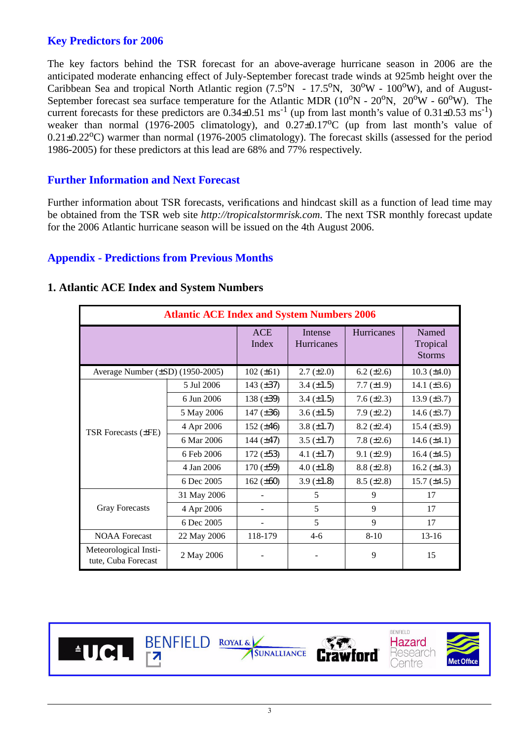#### **Key Predictors for 2006**

The key factors behind the TSR forecast for an above-average hurricane season in 2006 are the anticipated moderate enhancing effect of July-September forecast trade winds at 925mb height over the Caribbean Sea and tropical North Atlantic region  $(7.5^{\circ}N - 17.5^{\circ}N, 30^{\circ}W - 100^{\circ}W)$ , and of August-September forecast sea surface temperature for the Atlantic MDR ( $10^{\circ}$ N -  $20^{\circ}$ N,  $20^{\circ}$ W -  $60^{\circ}$ W). The current forecasts for these predictors are  $0.34\pm0.51$  ms<sup>-1</sup> (up from last month's value of  $0.31\pm0.53$  ms<sup>-1</sup>) weaker than normal (1976-2005 climatology), and  $0.27\pm0.17\degree$ C (up from last month's value of  $0.21\pm0.22^{\circ}$ C) warmer than normal (1976-2005 climatology). The forecast skills (assessed for the period 1986-2005) for these predictors at this lead are 68% and 77% respectively.

#### **Further Information and Next Forecast**

Further information about TSR forecasts, verifications and hindcast skill as a function of lead time may be obtained from the TSR web site *http://tropicalstormrisk.com*. The next TSR monthly forecast update for the 2006 Atlantic hurricane season will be issued on the 4th August 2006.

#### **Appendix - Predictions from Previous Months**

|                                              | <b>Atlantic ACE Index and System Numbers 2006</b> |                     |                              |                   |                                    |  |
|----------------------------------------------|---------------------------------------------------|---------------------|------------------------------|-------------------|------------------------------------|--|
|                                              |                                                   | <b>ACE</b><br>Index | Intense<br><b>Hurricanes</b> | Hurricanes        | Named<br>Tropical<br><b>Storms</b> |  |
| Average Number (±SD) (1950-2005)             |                                                   | $102 (\pm 61)$      | $2.7 (\pm 2.0)$              | $6.2 (\pm 2.6)$   | 10.3 $(\pm 4.0)$                   |  |
|                                              | 5 Jul 2006                                        | 143 $(\pm 37)$      | 3.4 $(\pm 1.5)$              | $7.7 (\pm 1.9)$   | 14.1 $(\pm 3.6)$                   |  |
|                                              | 6 Jun 2006                                        | 138 $(\pm 39)$      | 3.4 $(\pm 1.5)$              | 7.6 $(\pm 2.3)$   | 13.9 $(\pm 3.7)$                   |  |
| <b>TSR Forecasts (±FE)</b>                   | 5 May 2006                                        | 147 $(\pm 36)$      | $3.6 (\pm 1.5)$              | $7.9 \ (\pm 2.2)$ | 14.6 $(\pm 3.7)$                   |  |
|                                              | 4 Apr 2006                                        | 152 $(\pm 46)$      | 3.8 $(\pm 1.7)$              | $8.2 (\pm 2.4)$   | 15.4 $(\pm 3.9)$                   |  |
|                                              | 6 Mar 2006                                        | 144 $(\pm 47)$      | $3.5 \ (\pm 1.7)$            | 7.8 $(\pm 2.6)$   | 14.6 $(\pm 4.1)$                   |  |
|                                              | 6 Feb 2006                                        | $172 (\pm 53)$      | 4.1 $(\pm 1.7)$              | $9.1 (\pm 2.9)$   | $16.4 (\pm 4.5)$                   |  |
|                                              | 4 Jan 2006                                        | $170 (\pm 59)$      | $4.0 (\pm 1.8)$              | $8.8 (\pm 2.8)$   | 16.2 $(\pm 4.3)$                   |  |
|                                              | 6 Dec 2005                                        | 162 $(\pm 60)$      | 3.9 $(\pm 1.8)$              | $8.5 (\pm 2.8)$   | 15.7 $(\pm 4.5)$                   |  |
|                                              | 31 May 2006                                       |                     | 5                            | 9                 | 17                                 |  |
| <b>Gray Forecasts</b>                        | 4 Apr 2006                                        |                     | 5                            | 9                 | 17                                 |  |
|                                              | 6 Dec 2005                                        |                     | 5                            | 9                 | 17                                 |  |
| <b>NOAA</b> Forecast                         | 22 May 2006                                       | 118-179             | $4-6$                        | $8 - 10$          | $13 - 16$                          |  |
| Meteorological Insti-<br>tute, Cuba Forecast | 2 May 2006                                        |                     |                              | 9                 | 15                                 |  |

#### **1. Atlantic ACE Index and System Numbers**

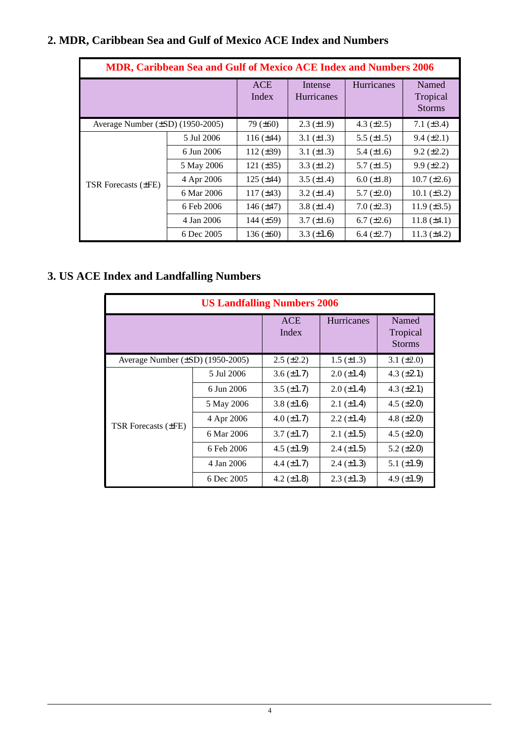|                                  |            |            | <b>ACE</b><br>Index | Intense<br>Hurricanes              |                                      | Hurricanes      | Named<br>Tropical<br><b>Storms</b> |
|----------------------------------|------------|------------|---------------------|------------------------------------|--------------------------------------|-----------------|------------------------------------|
| Average Number (±SD) (1950-2005) |            |            | 79 (±60)            | $2.3 (\pm 1.9)$                    |                                      | 4.3 $(\pm 2.5)$ | 7.1 $(\pm 3.4)$                    |
|                                  |            | 5 Jul 2006 | $116 (\pm 44)$      | 3.1 $(\pm 1.3)$                    |                                      | 5.5 $(\pm 1.5)$ | $9.4 (\pm 2.1)$                    |
|                                  |            | 6 Jun 2006 | 112 $(\pm 39)$      | 3.1 $(\pm 1.3)$                    |                                      | 5.4 $(\pm 1.6)$ | $9.2 (\pm 2.2)$                    |
|                                  |            | 5 May 2006 | 121 $(\pm 35)$      | 3.3 $(\pm 1.2)$                    |                                      | 5.7 $(\pm 1.5)$ | $9.9 (\pm 2.2)$                    |
| TSR Forecasts (±FE)              |            | 4 Apr 2006 | 125 $(\pm 44)$      | 3.5 $(\pm 1.4)$                    |                                      | $6.0 (\pm 1.8)$ | $10.7 (\pm 2.6)$                   |
|                                  |            | 6 Mar 2006 | 117 $(\pm 43)$      | 3.2 $(\pm 1.4)$                    |                                      | 5.7 $(\pm 2.0)$ | 10.1 $(\pm 3.2)$                   |
|                                  |            | 6 Feb 2006 | 146 $(\pm 47)$      | 3.8 $(\pm 1.4)$                    |                                      | $7.0 (\pm 2.3)$ | 11.9 $(\pm 3.5)$                   |
|                                  |            | 4 Jan 2006 | 144 (±59)           | $3.7 (\pm 1.6)$                    |                                      | $6.7 (\pm 2.6)$ | 11.8 $(\pm 4.1)$                   |
|                                  |            | 6 Dec 2005 | 136 $(\pm 60)$      | 3.3 $(\pm 1.6)$                    |                                      | 6.4 $(\pm 2.7)$ | 11.3 $(\pm 4.2)$                   |
|                                  |            |            |                     | <b>ACE</b><br>Index                |                                      | Hurricanes      | Named<br>Tropical<br><b>Storms</b> |
|                                  |            |            |                     |                                    |                                      |                 |                                    |
| Average Number (±SD) (1950-2005) |            | 5 Jul 2006 |                     | $2.5 (\pm 2.2)$<br>3.6 $(\pm 1.7)$ | $1.5 \ (\pm 1.3)$<br>$2.0 (\pm 1.4)$ |                 | 3.1 $(\pm 2.0)$<br>4.3 $(\pm 2.1)$ |
|                                  |            | 6 Jun 2006 |                     | 3.5 $(\pm 1.7)$                    |                                      | $2.0 (\pm 1.4)$ | 4.3 $(\pm 2.1)$                    |
|                                  |            | 5 May 2006 | 3.8 $(\pm 1.6)$     |                                    | $2.1 (\pm 1.4)$                      | 4.5 $(\pm 2.0)$ |                                    |
|                                  |            | 4 Apr 2006 |                     | 4.0 $(\pm 1.7)$                    |                                      | $2.2 (\pm 1.4)$ | 4.8 $(\pm 2.0)$                    |
| TSR Forecasts (±FE)              |            | 6 Mar 2006 |                     | $3.7 (\pm 1.7)$                    |                                      | $2.1 (\pm 1.5)$ | 4.5 $(\pm 2.0)$                    |
|                                  | 6 Feb 2006 |            |                     | 4.5 $(\pm 1.9)$                    |                                      | $2.4 (\pm 1.5)$ | 5.2 $(\pm 2.0)$                    |
|                                  |            |            |                     |                                    |                                      |                 |                                    |
|                                  |            | 4 Jan 2006 |                     | 4.4 $(\pm 1.7)$                    |                                      | $2.4 (\pm 1.3)$ | 5.1 $(\pm 1.9)$                    |

# **3. US ACE Index and Landfalling Numbers**

| <b>US Landfalling Numbers 2006</b>    |                     |                   |                                    |                 |  |  |
|---------------------------------------|---------------------|-------------------|------------------------------------|-----------------|--|--|
|                                       | <b>ACE</b><br>Index | <b>Hurricanes</b> | Named<br>Tropical<br><b>Storms</b> |                 |  |  |
| Average Number $(\pm SD)$ (1950-2005) |                     | $2.5 (\pm 2.2)$   | $1.5 \ (\pm 1.3)$                  | 3.1 $(\pm 2.0)$ |  |  |
|                                       | 5 Jul 2006          | $3.6 (\pm 1.7)$   | $2.0 (\pm 1.4)$                    | 4.3 $(\pm 2.1)$ |  |  |
|                                       | 6 Jun 2006          | $3.5 \ (\pm 1.7)$ | $2.0 (\pm 1.4)$                    | 4.3 $(\pm 2.1)$ |  |  |
|                                       | 5 May 2006          | 3.8 $(\pm 1.6)$   | $2.1 (\pm 1.4)$                    | 4.5 $(\pm 2.0)$ |  |  |
| TSR Forecasts (±FE)                   | 4 Apr 2006          | $4.0 (\pm 1.7)$   | $2.2 (\pm 1.4)$                    | 4.8 $(\pm 2.0)$ |  |  |
|                                       | 6 Mar 2006          | $3.7 \ (\pm 1.7)$ | $2.1 (\pm 1.5)$                    | 4.5 $(\pm 2.0)$ |  |  |
|                                       | 6 Feb 2006          | 4.5 $(\pm 1.9)$   | $2.4 (\pm 1.5)$                    | 5.2 $(\pm 2.0)$ |  |  |
|                                       | 4 Jan 2006          | 4.4 $(\pm 1.7)$   | $2.4 (\pm 1.3)$                    | 5.1 $(\pm 1.9)$ |  |  |
|                                       | 6 Dec 2005          | 4.2 $(\pm 1.8)$   | $2.3 \ (\pm 1.3)$                  | 4.9 $(\pm 1.9)$ |  |  |